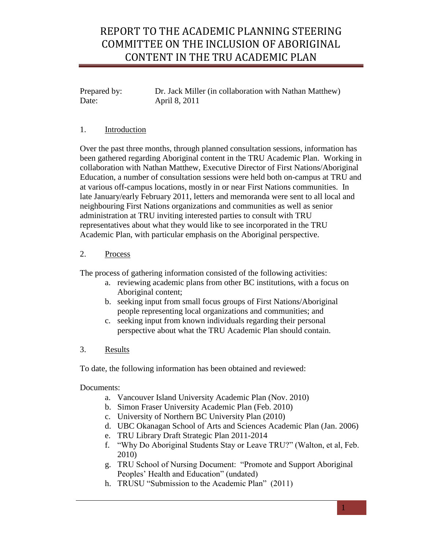Prepared by: Dr. Jack Miller (in collaboration with Nathan Matthew) Date: April 8, 2011

## 1. Introduction

Over the past three months, through planned consultation sessions, information has been gathered regarding Aboriginal content in the TRU Academic Plan. Working in collaboration with Nathan Matthew, Executive Director of First Nations/Aboriginal Education, a number of consultation sessions were held both on-campus at TRU and at various off-campus locations, mostly in or near First Nations communities. In late January/early February 2011, letters and memoranda were sent to all local and neighbouring First Nations organizations and communities as well as senior administration at TRU inviting interested parties to consult with TRU representatives about what they would like to see incorporated in the TRU Academic Plan, with particular emphasis on the Aboriginal perspective.

### 2. Process

The process of gathering information consisted of the following activities:

- a. reviewing academic plans from other BC institutions, with a focus on Aboriginal content;
- b. seeking input from small focus groups of First Nations/Aboriginal people representing local organizations and communities; and
- c. seeking input from known individuals regarding their personal perspective about what the TRU Academic Plan should contain.
- 3. Results

To date, the following information has been obtained and reviewed:

Documents:

- a. Vancouver Island University Academic Plan (Nov. 2010)
- b. Simon Fraser University Academic Plan (Feb. 2010)
- c. University of Northern BC University Plan (2010)
- d. UBC Okanagan School of Arts and Sciences Academic Plan (Jan. 2006)
- e. TRU Library Draft Strategic Plan 2011-2014
- f. "Why Do Aboriginal Students Stay or Leave TRU?" (Walton, et al, Feb. 2010)
- g. TRU School of Nursing Document: "Promote and Support Aboriginal Peoples' Health and Education" (undated)
- h. TRUSU "Submission to the Academic Plan" (2011)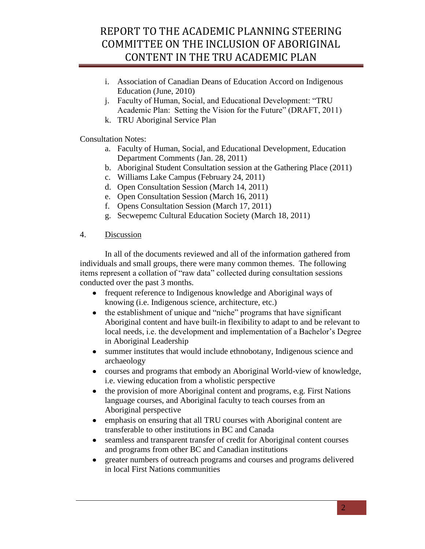- i. Association of Canadian Deans of Education Accord on Indigenous Education (June, 2010)
- j. Faculty of Human, Social, and Educational Development: "TRU Academic Plan: Setting the Vision for the Future" (DRAFT, 2011)
- k. TRU Aboriginal Service Plan

Consultation Notes:

- a. Faculty of Human, Social, and Educational Development, Education Department Comments (Jan. 28, 2011)
- b. Aboriginal Student Consultation session at the Gathering Place (2011)
- c. Williams Lake Campus (February 24, 2011)
- d. Open Consultation Session (March 14, 2011)
- e. Open Consultation Session (March 16, 2011)
- f. Opens Consultation Session (March 17, 2011)
- g. Secwepemc Cultural Education Society (March 18, 2011)
- 4. Discussion

In all of the documents reviewed and all of the information gathered from individuals and small groups, there were many common themes. The following items represent a collation of "raw data" collected during consultation sessions conducted over the past 3 months.

- frequent reference to Indigenous knowledge and Aboriginal ways of knowing (i.e. Indigenous science, architecture, etc.)
- the establishment of unique and "niche" programs that have significant Aboriginal content and have built-in flexibility to adapt to and be relevant to local needs, i.e. the development and implementation of a Bachelor's Degree in Aboriginal Leadership
- summer institutes that would include ethnobotany, Indigenous science and archaeology
- courses and programs that embody an Aboriginal World-view of knowledge, i.e. viewing education from a wholistic perspective
- the provision of more Aboriginal content and programs, e.g. First Nations language courses, and Aboriginal faculty to teach courses from an Aboriginal perspective
- emphasis on ensuring that all TRU courses with Aboriginal content are transferable to other institutions in BC and Canada
- seamless and transparent transfer of credit for Aboriginal content courses and programs from other BC and Canadian institutions
- greater numbers of outreach programs and courses and programs delivered  $\bullet$ in local First Nations communities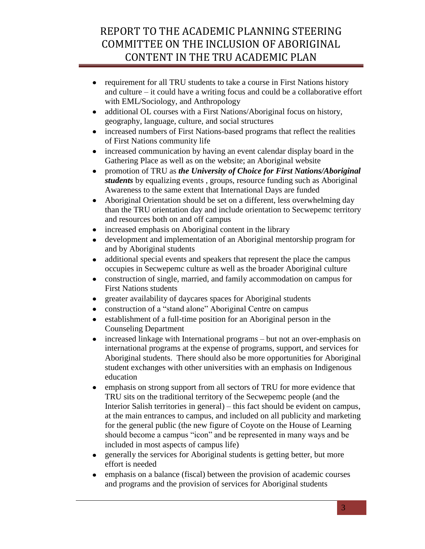- requirement for all TRU students to take a course in First Nations history and culture – it could have a writing focus and could be a collaborative effort with EML/Sociology, and Anthropology
- additional OL courses with a First Nations/Aboriginal focus on history,  $\bullet$ geography, language, culture, and social structures
- increased numbers of First Nations-based programs that reflect the realities of First Nations community life
- increased communication by having an event calendar display board in the  $\bullet$ Gathering Place as well as on the website; an Aboriginal website
- promotion of TRU as *the University of Choice for First Nations/Aboriginal*   $\bullet$ *students* by equalizing events , groups, resource funding such as Aboriginal Awareness to the same extent that International Days are funded
- Aboriginal Orientation should be set on a different, less overwhelming day  $\bullet$ than the TRU orientation day and include orientation to Secwepemc territory and resources both on and off campus
- increased emphasis on Aboriginal content in the library
- development and implementation of an Aboriginal mentorship program for and by Aboriginal students
- additional special events and speakers that represent the place the campus  $\bullet$ occupies in Secwepemc culture as well as the broader Aboriginal culture
- construction of single, married, and family accommodation on campus for  $\bullet$ First Nations students
- greater availability of daycares spaces for Aboriginal students
- construction of a "stand alone" Aboriginal Centre on campus
- establishment of a full-time position for an Aboriginal person in the Counseling Department
- increased linkage with International programs but not an over-emphasis on international programs at the expense of programs, support, and services for Aboriginal students. There should also be more opportunities for Aboriginal student exchanges with other universities with an emphasis on Indigenous education
- emphasis on strong support from all sectors of TRU for more evidence that  $\bullet$ TRU sits on the traditional territory of the Secwepemc people (and the Interior Salish territories in general) – this fact should be evident on campus, at the main entrances to campus, and included on all publicity and marketing for the general public (the new figure of Coyote on the House of Learning should become a campus "icon" and be represented in many ways and be included in most aspects of campus life)
- generally the services for Aboriginal students is getting better, but more  $\bullet$ effort is needed
- emphasis on a balance (fiscal) between the provision of academic courses and programs and the provision of services for Aboriginal students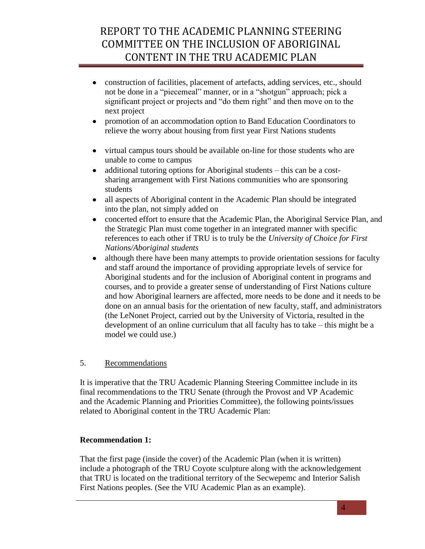- construction of facilities, placement of artefacts, adding services, etc., should not be done in a "piecemeal" manner, or in a "shotgun" approach; pick a significant project or projects and "do them right" and then move on to the next project
- promotion of an accommodation option to Band Education Coordinators to  $\bullet$ relieve the worry about housing from first year First Nations students
- virtual campus tours should be available on-line for those students who are  $\bullet$ unable to come to campus
- additional tutoring options for Aboriginal students this can be a cost- $\bullet$ sharing arrangement with First Nations communities who are sponsoring students
- all aspects of Aboriginal content in the Academic Plan should be integrated into the plan, not simply added on
- concerted effort to ensure that the Academic Plan, the Aboriginal Service Plan, and the Strategic Plan must come together in an integrated manner with specific references to each other if TRU is to truly be the *University of Choice for First Nations/Aboriginal students*
- although there have been many attempts to provide orientation sessions for faculty  $\bullet$ and staff around the importance of providing appropriate levels of service for Aboriginal students and for the inclusion of Aboriginal content in programs and courses, and to provide a greater sense of understanding of First Nations culture and how Aboriginal learners are affected, more needs to be done and it needs to be done on an annual basis for the orientation of new faculty, staff, and administrators (the LeNonet Project, carried out by the University of Victoria, resulted in the development of an online curriculum that all faculty has to take – this might be a model we could use.)

### 5. Recommendations

It is imperative that the TRU Academic Planning Steering Committee include in its final recommendations to the TRU Senate (through the Provost and VP Academic and the Academic Planning and Priorities Committee), the following points/issues related to Aboriginal content in the TRU Academic Plan:

### **Recommendation 1:**

That the first page (inside the cover) of the Academic Plan (when it is written) include a photograph of the TRU Coyote sculpture along with the acknowledgement that TRU is located on the traditional territory of the Secwepemc and Interior Salish First Nations peoples. (See the VIU Academic Plan as an example).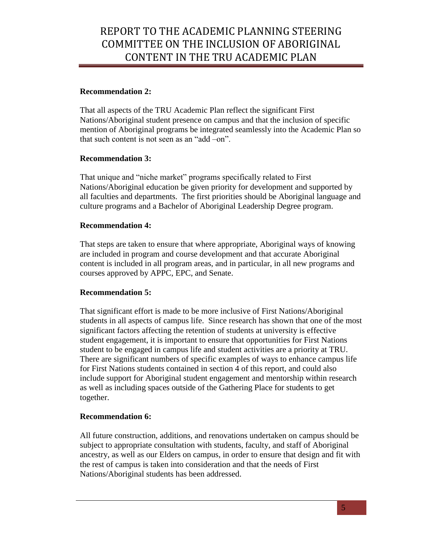## **Recommendation 2:**

That all aspects of the TRU Academic Plan reflect the significant First Nations/Aboriginal student presence on campus and that the inclusion of specific mention of Aboriginal programs be integrated seamlessly into the Academic Plan so that such content is not seen as an "add –on".

## **Recommendation 3:**

That unique and "niche market" programs specifically related to First Nations/Aboriginal education be given priority for development and supported by all faculties and departments. The first priorities should be Aboriginal language and culture programs and a Bachelor of Aboriginal Leadership Degree program.

### **Recommendation 4:**

That steps are taken to ensure that where appropriate, Aboriginal ways of knowing are included in program and course development and that accurate Aboriginal content is included in all program areas, and in particular, in all new programs and courses approved by APPC, EPC, and Senate.

### **Recommendation 5:**

That significant effort is made to be more inclusive of First Nations/Aboriginal students in all aspects of campus life. Since research has shown that one of the most significant factors affecting the retention of students at university is effective student engagement, it is important to ensure that opportunities for First Nations student to be engaged in campus life and student activities are a priority at TRU. There are significant numbers of specific examples of ways to enhance campus life for First Nations students contained in section 4 of this report, and could also include support for Aboriginal student engagement and mentorship within research as well as including spaces outside of the Gathering Place for students to get together.

### **Recommendation 6:**

All future construction, additions, and renovations undertaken on campus should be subject to appropriate consultation with students, faculty, and staff of Aboriginal ancestry, as well as our Elders on campus, in order to ensure that design and fit with the rest of campus is taken into consideration and that the needs of First Nations/Aboriginal students has been addressed.